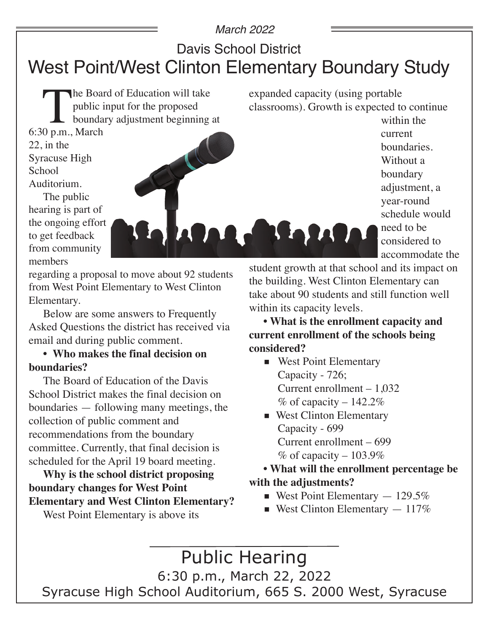#### *March 2022*

### Davis School District

# West Point/West Clinton Elementary Boundary Study

The Board of Education will take<br>public input for the proposed<br>boundary adjustment beginning<br>0 p.m., March public input for the proposed boundary adjustment beginning at

expanded capacity (using portable classrooms). Growth is expected to continue within the

current

boundaries. Without a boundary adjustment, a year-round

schedule would

accommodate the

need to be considered to

6:30 p.m., March 22, in the Syracuse High **School** Auditorium. The public

hearing is part of the ongoing effort to get feedback from community members

regarding a proposal to move about 92 students from West Point Elementary to West Clinton Elementary.

Below are some answers to Frequently Asked Questions the district has received via email and during public comment.

#### **• Who makes the final decision on boundaries?**

The Board of Education of the Davis School District makes the final decision on boundaries — following many meetings, the collection of public comment and recommendations from the boundary committee. Currently, that final decision is scheduled for the April 19 board meeting.

**Why is the school district proposing boundary changes for West Point Elementary and West Clinton Elementary?**

West Point Elementary is above its

student growth at that school and its impact on the building. West Clinton Elementary can take about 90 students and still function well within its capacity levels.

**• What is the enrollment capacity and current enrollment of the schools being considered?**

■ West Point Elementary Capacity - 726; Current enrollment – 1,032  $%$  of capacity – 142.2%

**R. Balde** 

■ West Clinton Elementary Capacity - 699 Current enrollment – 699  $%$  of capacity – 103.9%

**• What will the enrollment percentage be with the adjustments?**

- **•** West Point Elementary  $-129.5\%$
- **•** West Clinton Elementary  $-117\%$

Public Hearing 6:30 p.m., March 22, 2022 Syracuse High School Auditorium, 665 S. 2000 West, Syracuse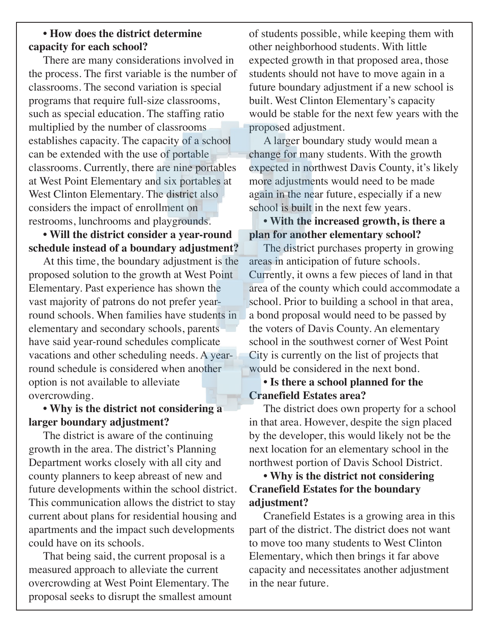#### **• How does the district determine capacity for each school?**

There are many considerations involved in the process. The first variable is the number of classrooms. The second variation is special programs that require full-size classrooms, such as special education. The staffing ratio multiplied by the number of classrooms establishes capacity. The capacity of a school can be extended with the use of portable classrooms. Currently, there are nine portables at West Point Elementary and six portables at West Clinton Elementary. The district also considers the impact of enrollment on restrooms, lunchrooms and playgrounds.

#### **• Will the district consider a year-round schedule instead of a boundary adjustment?**

At this time, the boundary adjustment is the proposed solution to the growth at West Point Elementary. Past experience has shown the vast majority of patrons do not prefer yearround schools. When families have students in elementary and secondary schools, parents have said year-round schedules complicate vacations and other scheduling needs. A yearround schedule is considered when another option is not available to alleviate overcrowding.

#### **• Why is the district not considering a larger boundary adjustment?**

The district is aware of the continuing growth in the area. The district's Planning Department works closely with all city and county planners to keep abreast of new and future developments within the school district. This communication allows the district to stay current about plans for residential housing and apartments and the impact such developments could have on its schools.

That being said, the current proposal is a measured approach to alleviate the current overcrowding at West Point Elementary. The proposal seeks to disrupt the smallest amount of students possible, while keeping them with other neighborhood students. With little expected growth in that proposed area, those students should not have to move again in a future boundary adjustment if a new school is built. West Clinton Elementary's capacity would be stable for the next few years with the proposed adjustment.

A larger boundary study would mean a change for many students. With the growth expected in northwest Davis County, it's likely more adjustments would need to be made again in the near future, especially if a new school is built in the next few years.

#### **• With the increased growth, is there a plan for another elementary school?**

The district purchases property in growing areas in anticipation of future schools. Currently, it owns a few pieces of land in that area of the county which could accommodate a school. Prior to building a school in that area, a bond proposal would need to be passed by the voters of Davis County. An elementary school in the southwest corner of West Point City is currently on the list of projects that would be considered in the next bond.

#### **• Is there a school planned for the Cranefield Estates area?**

The district does own property for a school in that area. However, despite the sign placed by the developer, this would likely not be the next location for an elementary school in the northwest portion of Davis School District.

#### **• Why is the district not considering Cranefield Estates for the boundary adjustment?**

Cranefield Estates is a growing area in this part of the district. The district does not want to move too many students to West Clinton Elementary, which then brings it far above capacity and necessitates another adjustment in the near future.